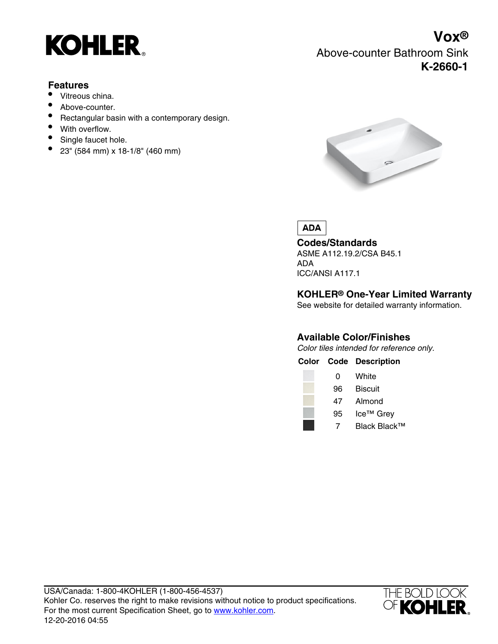

### **Features**

- Vitreous china.
- Above-counter.
- Rectangular basin with a contemporary design.
- With overflow.
- Single faucet hole.
- 23" (584 mm) x 18-1/8" (460 mm)

# **Vox®** Above-counter Bathroom Sink **K-2660-1**



**ADA** 

**Codes/Standards** ASME A112.19.2/CSA B45.1 ADA ICC/ANSI A117.1

### **KOHLER® One-Year Limited Warranty**

See website for detailed warranty information.

#### **Available Color/Finishes**

Color tiles intended for reference only.